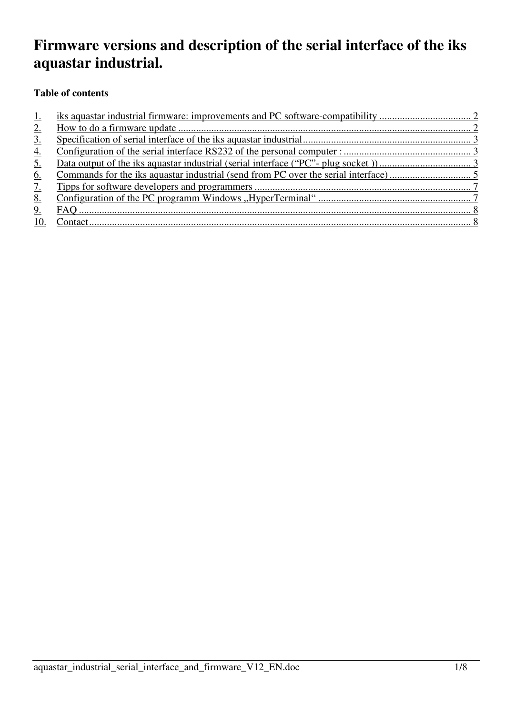# **Firmware versions and description of the serial interface of the iks aquastar industrial.**

# **Table of contents**

| <u>1.</u>         |  |
|-------------------|--|
| $2_{\cdot}$       |  |
| $\underline{3}$ . |  |
| <u>4.</u>         |  |
| <u>5.</u>         |  |
| <u>6.</u>         |  |
| <u>7.</u>         |  |
| <u>8.</u>         |  |
| 9.                |  |
| 10.               |  |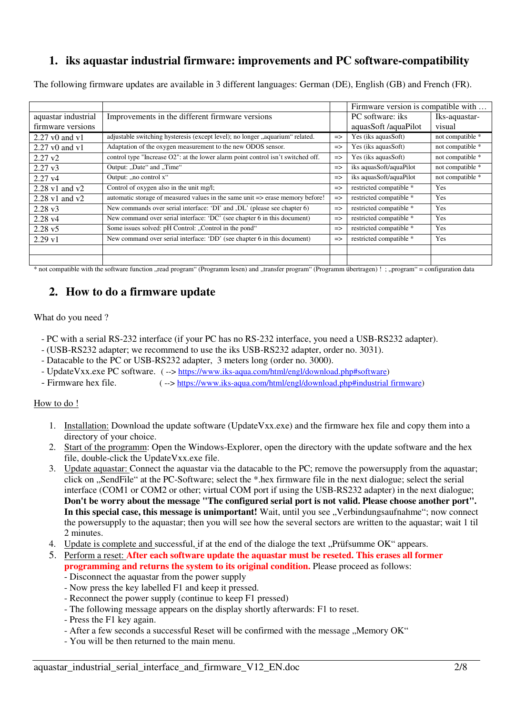# **1. iks aquastar industrial firmware: improvements and PC software-compatibility**

The following firmware updates are available in 3 different languages: German (DE), English (GB) and French (FR).

|                     |                                                                                  |               | Firmware version is compatible with |                  |
|---------------------|----------------------------------------------------------------------------------|---------------|-------------------------------------|------------------|
| aquastar industrial | Improvements in the different firmware versions                                  |               | PC software: iks                    | Iks-aquastar-    |
| firmware versions   |                                                                                  |               | aquasSoft/aquaPilot                 | visual           |
| $2.27$ v0 and v1    | adjustable switching hysteresis (except level); no longer "aquarium" related.    | $\Rightarrow$ | Yes (iks aquasSoft)                 | not compatible * |
| 2.27 v0 and v1      | Adaptation of the oxygen measurement to the new ODOS sensor.                     | $\Rightarrow$ | Yes (iks aquasSoft)                 | not compatible * |
| $2.27 \text{ v}2$   | control type "Increase O2": at the lower alarm point control isn't switched off. | $\Rightarrow$ | Yes (iks aquasSoft)                 | not compatible * |
| $2.27 \text{ v}3$   | Output: "Date" and "Time"                                                        | $\Rightarrow$ | iks aquasSoft/aquaPilot             | not compatible * |
| $2.27 \text{ v}4$   | Output: "no control x"                                                           | $\Rightarrow$ | iks aquasSoft/aquaPilot             | not compatible * |
| $2.28$ v1 and v2    | Control of oxygen also in the unit mg/l;                                         | $\Rightarrow$ | restricted compatible *             | Yes              |
| $2.28$ v1 and v2    | automatic storage of measured values in the same unit => erase memory before!    | $\Rightarrow$ | restricted compatible *             | Yes              |
| $2.28 \text{ v}3$   | New commands over serial interface: 'DI' and ,DL' (please see chapter 6)         | $\Rightarrow$ | restricted compatible *             | Yes              |
| $2.28 \text{ v}4$   | New command over serial interface: 'DC' (see chapter 6 in this document)         | $\Rightarrow$ | restricted compatible *             | Yes              |
| $2.28 \text{ v}5$   | Some issues solved: pH Control: "Control in the pond"                            | $\Rightarrow$ | restricted compatible *             | Yes              |
| $2.29 \text{ v}1$   | New command over serial interface: 'DD' (see chapter 6 in this document)         | $\Rightarrow$ | restricted compatible *             | Yes              |
|                     |                                                                                  |               |                                     |                  |
|                     |                                                                                  |               |                                     |                  |

\* not compatible with the software function "read program" (Programm lesen) and "transfer program" (Programm übertragen) ! ; "program" = configuration data

# **2. How to do a firmware update**

#### What do you need ?

- PC with a serial RS-232 interface (if your PC has no RS-232 interface, you need a USB-RS232 adapter).
- (USB-RS232 adapter; we recommend to use the iks USB-RS232 adapter, order no. 3031).
- Datacable to the PC or USB-RS232 adapter, 3 meters long (order no. 3000).
- UpdateVxx.exe PC software. ( --> https://www.iks-aqua.com/html/engl/download.php#software)
- Firmware hex file. (--> https://www.iks-aqua.com/html/engl/download.php#industrial firmware)

#### How to do !

- 1. Installation: Download the update software (UpdateVxx.exe) and the firmware hex file and copy them into a directory of your choice.
- 2. Start of the programm: Open the Windows-Explorer, open the directory with the update software and the hex file, double-click the UpdateVxx.exe file.
- 3. Update aquastar: Connect the aquastar via the datacable to the PC; remove the powersupply from the aquastar; click on "SendFile" at the PC-Software; select the \*.hex firmware file in the next dialogue; select the serial interface (COM1 or COM2 or other; virtual COM port if using the USB-RS232 adapter) in the next dialogue; **Don't be worry about the message "The configured serial port is not valid. Please choose another port". In this special case, this message is unimportant!** Wait, until you see "Verbindungsaufnahme"; now connect the powersupply to the aquastar; then you will see how the several sectors are written to the aquastar; wait 1 til 2 minutes.
- 4. Update is complete and successful, if at the end of the dialoge the text "Prüfsumme OK" appears.
- 5. Perform a reset: **After each software update the aquastar must be reseted. This erases all former programming and returns the system to its original condition.** Please proceed as follows:
	- Disconnect the aquastar from the power supply
	- Now press the key labelled F1 and keep it pressed.
	- Reconnect the power supply (continue to keep F1 pressed)
	- The following message appears on the display shortly afterwards: F1 to reset.
	- Press the F1 key again.
	- After a few seconds a successful Reset will be confirmed with the message ..Memory OK"
	- You will be then returned to the main menu.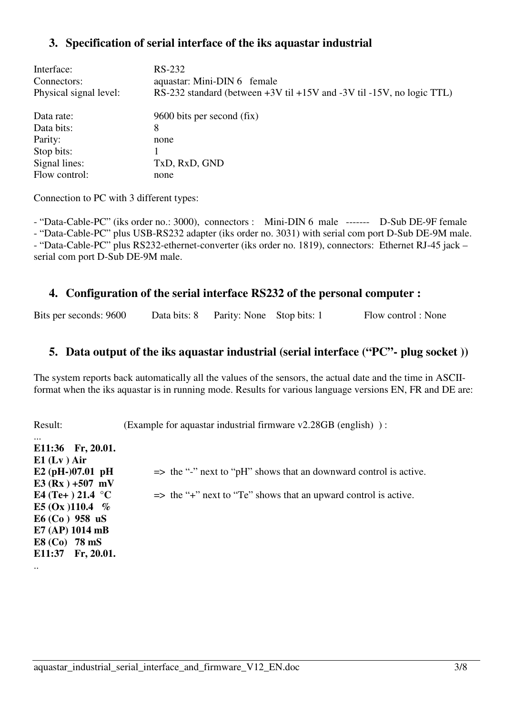## **3. Specification of serial interface of the iks aquastar industrial**

| Interface:<br>Connectors:<br>Physical signal level: | RS-232<br>aquastar: Mini-DIN 6 female<br>RS-232 standard (between $+3V$ til $+15V$ and $-3V$ til $-15V$ , no logic TTL) |
|-----------------------------------------------------|-------------------------------------------------------------------------------------------------------------------------|
| Data rate:                                          | 9600 bits per second (fix)                                                                                              |
| Data bits:                                          | 8                                                                                                                       |
| Parity:                                             | none                                                                                                                    |
| Stop bits:                                          |                                                                                                                         |
| Signal lines:                                       | TxD, RxD, GND                                                                                                           |
| Flow control:                                       | none                                                                                                                    |

Connection to PC with 3 different types:

- "Data-Cable-PC" (iks order no.: 3000), connectors : Mini-DIN 6 male ------- D-Sub DE-9F female - "Data-Cable-PC" plus USB-RS232 adapter (iks order no. 3031) with serial com port D-Sub DE-9M male. - "Data-Cable-PC" plus RS232-ethernet-converter (iks order no. 1819), connectors: Ethernet RJ-45 jack – serial com port D-Sub DE-9M male.

#### **4. Configuration of the serial interface RS232 of the personal computer :**

Bits per seconds: 9600 Data bits: 8 Parity: None Stop bits: 1 Flow control : None

#### **5. Data output of the iks aquastar industrial (serial interface ("PC"- plug socket ))**

The system reports back automatically all the values of the sensors, the actual date and the time in ASCIIformat when the iks aquastar is in running mode. Results for various language versions EN, FR and DE are:

Result: (Example for aquastar industrial firmware v2.28GB (english) ):

| $\cdots$                   |                                                                              |
|----------------------------|------------------------------------------------------------------------------|
| E11:36 Fr, 20.01.          |                                                                              |
| $E1$ (Lv) Air              |                                                                              |
| E2 (pH-)07.01 pH           | $\Rightarrow$ the "-" next to "pH" shows that an downward control is active. |
| E3 (Rx) +507 mV            |                                                                              |
| E4 (Te+) 21.4 $^{\circ}$ C | $\Rightarrow$ the "+" next to "Te" shows that an upward control is active.   |
| E5 (Ox )110.4 $%$          |                                                                              |
| $E6(Co)$ 958 uS            |                                                                              |
| E7 (AP) 1014 mB            |                                                                              |
| E8 (Co) 78 mS              |                                                                              |
| E11:37 Fr, 20.01.          |                                                                              |
| $\ddot{\phantom{0}}\cdot$  |                                                                              |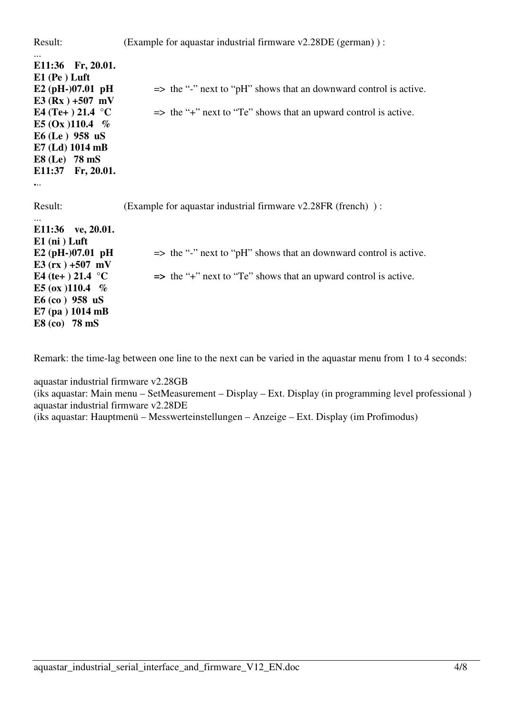| Result:                                           | (Example for aquastar industrial firmware v2.28DE (german)):                 |
|---------------------------------------------------|------------------------------------------------------------------------------|
| E11:36 Fr, 20.01.<br>$E1$ (Pe) Luft               |                                                                              |
| E2 (pH-)07.01 pH<br>E3 (Rx) +507 mV               | $\Rightarrow$ the "-" next to "pH" shows that an downward control is active. |
| E4 (Te+) 21.4 $^{\circ}$ C                        | $\Rightarrow$ the "+" next to "Te" shows that an upward control is active.   |
| E5 (Ox) 110.4 $%$                                 |                                                                              |
| $E6$ (Le) 958 uS<br>E7 (Ld) 1014 mB               |                                                                              |
| $E8$ (Le) 78 mS                                   |                                                                              |
| E11:37 Fr, 20.01.                                 |                                                                              |
| $\bullet\bullet\bullet$                           |                                                                              |
| Result:                                           | (Example for aquastar industrial firmware v2.28FR (french)):                 |
| E11:36 ve, 20.01.<br>$E1$ (ni) Luft               |                                                                              |
| E2 (pH-)07.01 pH                                  | $\Rightarrow$ the "-" next to "pH" shows that an downward control is active. |
| E3 $(rx) + 507 mV$<br>E4 (te+ ) 21.4 $^{\circ}$ C | $\Rightarrow$ the "+" next to "Te" shows that an upward control is active.   |
| E5 (ox )110.4 $%$                                 |                                                                              |
| $E6$ (co) 958 uS                                  |                                                                              |
| $E7$ (pa) 1014 mB<br>$E8$ (co) 78 mS              |                                                                              |

Remark: the time-lag between one line to the next can be varied in the aquastar menu from 1 to 4 seconds:

aquastar industrial firmware v2.28GB (iks aquastar: Main menu – SetMeasurement – Display – Ext. Display (in programming level professional ) aquastar industrial firmware v2.28DE (iks aquastar: Hauptmenü – Messwerteinstellungen – Anzeige – Ext. Display (im Profimodus)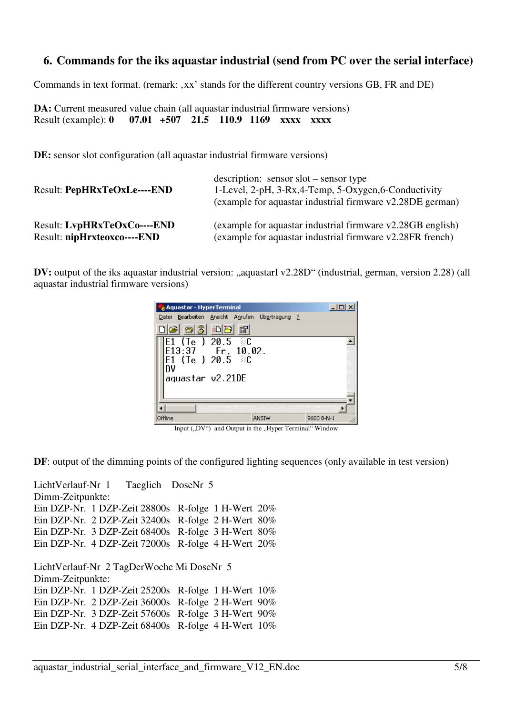#### **6. Commands for the iks aquastar industrial (send from PC over the serial interface)**

Commands in text format. (remark: xx' stands for the different country versions GB, FR and DE)

**DA:** Current measured value chain (all aquastar industrial firmware versions) Result (example): **0 07.01 +507 21.5 110.9 1169 xxxx xxx** 

**DE:** sensor slot configuration (all aquastar industrial firmware versions)

| <b>Result: PepHRxTeOxLe----END</b> | $\alpha$ description: sensor slot – sensor type<br>1-Level, 2-pH, 3-Rx, 4-Temp, 5-Oxygen, 6-Conductivity<br>(example for aquastar industrial firmware v2.28DE german) |
|------------------------------------|-----------------------------------------------------------------------------------------------------------------------------------------------------------------------|
| <b>Result: LvpHRxTeOxCo----END</b> | (example for aquastar industrial firmware v2.28GB english)                                                                                                            |
| Result: nipHrxteoxco----END        | (example for aquastar industrial firmware v2.28FR french)                                                                                                             |

**DV:** output of the iks aquastar industrial version: "aquastarI v2.28D" (industrial, german, version 2.28) (all aquastar industrial firmware versions)

| Aquastar - HyperTerminal                                                                 |       | $\Box$     |
|------------------------------------------------------------------------------------------|-------|------------|
| Datei Bearbeiten Ansicht Anrufen Übertragung ?                                           |       |            |
| de 63 - 81<br>$\mathbb{E}$                                                               |       |            |
| $E1$ (Te ) 20.5 $E$<br>$\overline{E1}3:37$ Fr, 10.02.<br>E1 (Te ) 20.5 $\approx$ C<br>Ŋν |       |            |
| aquastar v2.21DE                                                                         |       |            |
|                                                                                          |       |            |
| Offline                                                                                  | ANSIW | 9600 8-N-1 |

Input  $($ "DV") and Output in the "Hyper Terminal" Window

**DF**: output of the dimming points of the configured lighting sequences (only available in test version)

LichtVerlauf-Nr 1 Taeglich DoseNr 5 Dimm-Zeitpunkte: Ein DZP-Nr. 1 DZP-Zeit 28800s R-folge 1 H-Wert 20% Ein DZP-Nr. 2 DZP-Zeit 32400s R-folge 2 H-Wert 80% Ein DZP-Nr. 3 DZP-Zeit 68400s R-folge 3 H-Wert 80% Ein DZP-Nr. 4 DZP-Zeit 72000s R-folge 4 H-Wert 20% LichtVerlauf-Nr 2 TagDerWoche Mi DoseNr 5 Dimm-Zeitpunkte: Ein DZP-Nr. 1 DZP-Zeit 25200s R-folge 1 H-Wert 10% Ein DZP-Nr. 2 DZP-Zeit 36000s R-folge 2 H-Wert 90% Ein DZP-Nr. 3 DZP-Zeit 57600s R-folge 3 H-Wert 90% Ein DZP-Nr. 4 DZP-Zeit 68400s R-folge 4 H-Wert 10%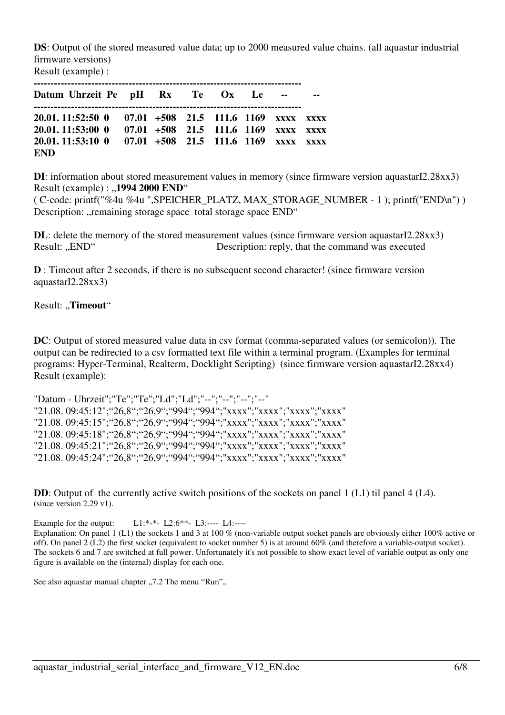**DS**: Output of the stored measured value data; up to 2000 measured value chains. (all aquastar industrial firmware versions)

Result (example) :

| Datum Uhrzeit Pe pH Rx Te Ox Le -- --                                                                                                                                                 |  |  |  |  |
|---------------------------------------------------------------------------------------------------------------------------------------------------------------------------------------|--|--|--|--|
| 20.01.11:52:50 0 07.01 +508 21.5 111.6 1169 xxxx xxxx<br>20.01.11:53:00 0 07.01 +508 21.5 111.6 1169 xxxx xxxx<br>20.01.11:53:10 0 07.01 +508 21.5 111.6 1169 xxxx xxxx<br><b>END</b> |  |  |  |  |

**DI**: information about stored measurement values in memory (since firmware version aquastarI2.28xx3) Result (example) : "1994 2000 END"

( C-code: printf("%4u %4u ",SPEICHER\_PLATZ, MAX\_STORAGE\_NUMBER - 1 ); printf("END\n") ) Description: "remaining storage space total storage space END"

**DL**: delete the memory of the stored measurement values (since firmware version aquastarI2.28xx3) Result: "END" Description: reply, that the command was executed

**D** : Timeout after 2 seconds, if there is no subsequent second character! (since firmware version aquastarI2.28xx3)

Result: "Timeout"

**DC**: Output of stored measured value data in csv format (comma-separated values (or semicolon)). The output can be redirected to a csv formatted text file within a terminal program. (Examples for terminal programs: Hyper-Terminal, Realterm, Docklight Scripting) (since firmware version aquastarI2.28xx4) Result (example):

"Datum - Uhrzeit";"Te";"Te";"Ld";"Ld";"--";"--";"--";"--" "21.08. 09:45:12";"26,8";"26,9";"994";"994";"xxxx";"xxxx";"xxxx";"xxxx" "21.08. 09:45:15";"26,8";"26,9";"994";"994";"xxxx";"xxxx";"xxxx";"xxxx" "21.08. 09:45:18";"26,8";"26,9";"994";"994";"xxxx";"xxxx";"xxxx";"xxxx" "21.08. 09:45:21";"26,8";"26,9";"994";"994";"xxxx";"xxxx";"xxxx";"xxxx" "21.08. 09:45:24";"26,8";"26,9";"994";"994";"xxxx";"xxxx";"xxxx";"xxxx"

**DD**: Output of the currently active switch positions of the sockets on panel 1 (L1) til panel 4 (L4). (since version 2.29 v1).

Example for the output: L1:\*-\*- L2:6\*\*- L3:---- L4:----Explanation: On panel 1 (L1) the sockets 1 and 3 at 100 % (non-variable output socket panels are obviously either 100% active or off). On panel 2 (L2) the first socket (equivalent to socket number 5) is at around 60% (and therefore a variable-output socket). The sockets 6 and 7 are switched at full power. Unfortunately it's not possible to show exact level of variable output as only one figure is available on the (internal) display for each one.

See also aquastar manual chapter ...7.2 The menu "Run"...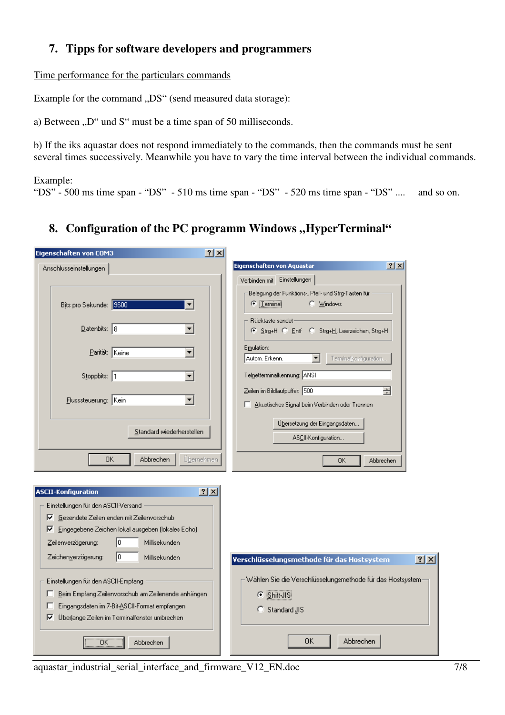# **7. Tipps for software developers and programmers**

Time performance for the particulars commands

Example for the command "DS" (send measured data storage):

a) Between  $D^{\prime\prime}$  und S<sup> $\prime\prime$ </sup> must be a time span of 50 milliseconds.

b) If the iks aquastar does not respond immediately to the commands, then the commands must be sent several times successively. Meanwhile you have to vary the time interval between the individual commands.

Example:

"DS" - 500 ms time span - "DS" - 510 ms time span - "DS" - 520 ms time span - "DS" .... and so on.

# 8. Configuration of the PC programm Windows "HyperTerminal"

**Contract Contract** 

| Eigenschaften von COM3                                                                                                                                                                                                                                                                                                                                                                                                                                                           | $\frac{21}{1}$                                                                                                                                                                                                                                                                                                                                                                                                                                                                                     |     |
|----------------------------------------------------------------------------------------------------------------------------------------------------------------------------------------------------------------------------------------------------------------------------------------------------------------------------------------------------------------------------------------------------------------------------------------------------------------------------------|----------------------------------------------------------------------------------------------------------------------------------------------------------------------------------------------------------------------------------------------------------------------------------------------------------------------------------------------------------------------------------------------------------------------------------------------------------------------------------------------------|-----|
| Anschlusseinstellungen                                                                                                                                                                                                                                                                                                                                                                                                                                                           | ? X <br>Eigenschaften von Aquastar                                                                                                                                                                                                                                                                                                                                                                                                                                                                 |     |
| Bits pro Sekunde: 9600<br>▼<br>$D$ atenbits: 8<br>▼<br>Parität: Keine<br>▼<br>Stoppbits: 1<br>▼<br>$\blacktriangledown$<br>Flusssteuerung: Kein<br>Standard wiederherstellen<br>Abbrechen<br>OΚ                                                                                                                                                                                                                                                                                  | Verbinden mit Einstellungen<br>Belegung der Funktions-, Pfeil- und Strg-Tasten für<br>$\bullet$   Lerminal<br>C Mindows<br>Rücktaste sendet<br>Strg+H C Entf C Strg+H, Leerzeichen, Strg+H<br>Emulation:<br>Terminalkonfiguration<br>Autom, Erkenn.<br>$\blacktriangledown$<br>Telnetterminalkennung: ANSI<br>Zeilen im Bildlaufpuffer: 500<br>금<br>Akustisches Signal beim Verbinden oder Trennen<br>Übersetzung der Eingangsdaten<br>ASCII-Konfiguration<br>Übernehmen<br><b>OK</b><br>Abbrechen |     |
| <b>ASCII-Konfiguration</b><br>Einstellungen für den ASCII-Versand<br>Gesendete Zeilen enden mit Zeilenvorschub<br> ⊽<br>Eingegebene Zeichen lokal ausgeben (lokales Echo)<br> ⊽<br>lo.<br>Zeilenverzögerung:<br>Millisekunden<br>Гo<br>Zeichenverzögerung:<br>Millisekunden<br>Einstellungen für den ASCII-Empfang<br>Beim Empfang Zeilenvorschub am Zeilenende anhängen<br>Eingangsdaten im 7-Bit-ASCII-Format empfangen.<br>⊽<br>Überlange Zeilen im Terminalfenster umbrechen | 2x<br>Verschlüsselungsmethode für das Hostsystem<br>Wählen Sie die Verschlüsselungsmethode für das Hostsystem:<br>C Shift JIS<br>C Standard JIS<br>OΚ<br>Abbrechen                                                                                                                                                                                                                                                                                                                                 | ? X |

aquastar\_industrial\_serial\_interface\_and\_firmware\_V12\_EN.doc 7/8